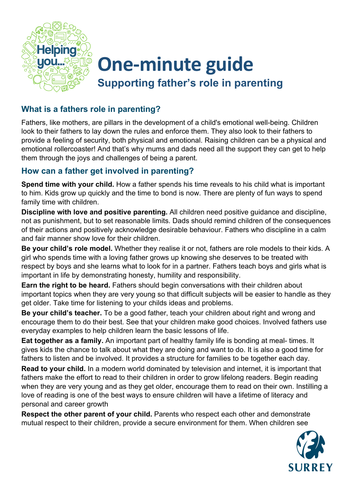

# **One-minute guide Supporting father's role in parenting**

## **What is a fathers role in parenting?**

Fathers, like mothers, are pillars in the development of a child's emotional well-being. Children look to their fathers to lay down the rules and enforce them. They also look to their fathers to provide a feeling of security, both physical and emotional. Raising children can be a physical and emotional rollercoaster! And that's why mums and dads need all the support they can get to help them through the joys and challenges of being a parent.

## **How can a father get involved in parenting?**

**Spend time with your child.** How a father spends his time reveals to his child what is important to him. Kids grow up quickly and the time to bond is now. There are plenty of fun ways to spend family time with children.

**Discipline with love and positive parenting.** All children need positive guidance and discipline, not as punishment, but to set reasonable limits. Dads should remind children of the consequences of their actions and positively acknowledge desirable behaviour. Fathers who discipline in a calm and fair manner show love for their children.

**Be your child's role model.** Whether they realise it or not, fathers are role models to their kids. A girl who spends time with a loving father grows up knowing she deserves to be treated with respect by boys and she learns what to look for in a partner. Fathers teach boys and girls what is important in life by demonstrating honesty, humility and responsibility.

**Earn the right to be heard.** Fathers should begin conversations with their children about important topics when they are very young so that difficult subjects will be easier to handle as they get older. Take time for listening to your childs ideas and problems.

**Be your child's teacher.** To be a good father, teach your children about right and wrong and encourage them to do their best. See that your children make good choices. Involved fathers use everyday examples to help children learn the basic lessons of life.

**Eat together as a family.** An important part of healthy family life is bonding at meal- times. It gives kids the chance to talk about what they are doing and want to do. It is also a good time for fathers to listen and be involved. It provides a structure for families to be together each day.

**Read to your child.** In a modern world dominated by television and internet, it is important that fathers make the effort to read to their children in order to grow lifelong readers. Begin reading when they are very young and as they get older, encourage them to read on their own. Instilling a love of reading is one of the best ways to ensure children will have a lifetime of literacy and personal and career growth

**Respect the other parent of your child.** Parents who respect each other and demonstrate mutual respect to their children, provide a secure environment for them. When children see